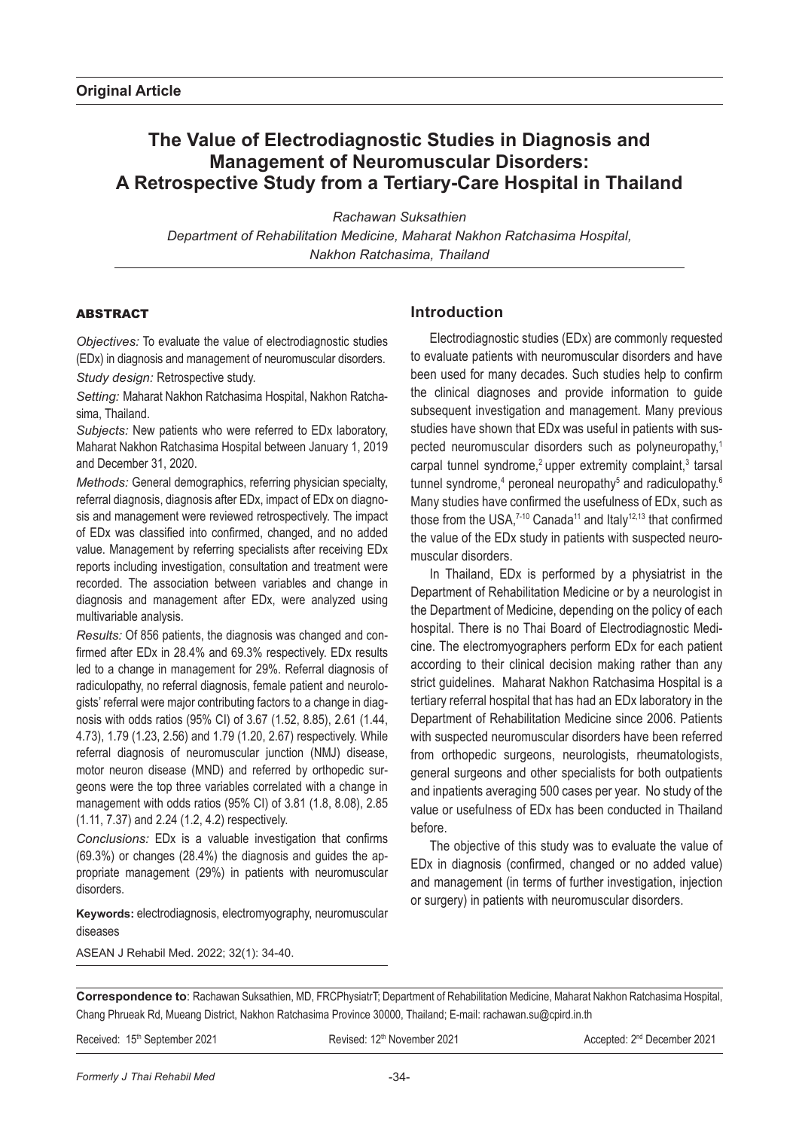# **The Value of Electrodiagnostic Studies in Diagnosis and Management of Neuromuscular Disorders: A Retrospective Study from a Tertiary-Care Hospital in Thailand**

*Rachawan Suksathien Department of Rehabilitation Medicine, Maharat Nakhon Ratchasima Hospital, Nakhon Ratchasima, Thailand*

### ABSTRACT

*Objectives:* To evaluate the value of electrodiagnostic studies (EDx) in diagnosis and management of neuromuscular disorders. *Study design:* Retrospective study.

*Setting:* Maharat Nakhon Ratchasima Hospital, Nakhon Ratchasima, Thailand.

*Subjects:* New patients who were referred to EDx laboratory, Maharat Nakhon Ratchasima Hospital between January 1, 2019 and December 31, 2020.

*Methods:* General demographics, referring physician specialty, referral diagnosis, diagnosis after EDx, impact of EDx on diagnosis and management were reviewed retrospectively. The impact of EDx was classified into confirmed, changed, and no added value. Management by referring specialists after receiving EDx reports including investigation, consultation and treatment were recorded. The association between variables and change in diagnosis and management after EDx, were analyzed using multivariable analysis.

*Results:* Of 856 patients, the diagnosis was changed and confirmed after EDx in 28.4% and 69.3% respectively. EDx results led to a change in management for 29%. Referral diagnosis of radiculopathy, no referral diagnosis, female patient and neurologists' referral were major contributing factors to a change in diagnosis with odds ratios (95% CI) of 3.67 (1.52, 8.85), 2.61 (1.44, 4.73), 1.79 (1.23, 2.56) and 1.79 (1.20, 2.67) respectively. While referral diagnosis of neuromuscular junction (NMJ) disease, motor neuron disease (MND) and referred by orthopedic surgeons were the top three variables correlated with a change in management with odds ratios (95% CI) of 3.81 (1.8, 8.08), 2.85 (1.11, 7.37) and 2.24 (1.2, 4.2) respectively.

*Conclusions:* EDx is a valuable investigation that confirms (69.3%) or changes (28.4%) the diagnosis and guides the appropriate management (29%) in patients with neuromuscular disorders.

**Keywords:** electrodiagnosis, electromyography, neuromuscular diseases

ASEAN J Rehabil Med. 2022; 32(1): 34-40.

## **Introduction**

Electrodiagnostic studies (EDx) are commonly requested to evaluate patients with neuromuscular disorders and have been used for many decades. Such studies help to confirm the clinical diagnoses and provide information to guide subsequent investigation and management. Many previous studies have shown that EDx was useful in patients with suspected neuromuscular disorders such as polyneuropathy,<sup>1</sup> carpal tunnel syndrome,<sup>2</sup> upper extremity complaint, $3$  tarsal tunnel syndrome,<sup>4</sup> peroneal neuropathy<sup>5</sup> and radiculopathy.<sup>6</sup> Many studies have confirmed the usefulness of EDx, such as those from the USA,<sup>7-10</sup> Canada<sup>11</sup> and Italy<sup>12,13</sup> that confirmed the value of the EDx study in patients with suspected neuromuscular disorders.

In Thailand, EDx is performed by a physiatrist in the Department of Rehabilitation Medicine or by a neurologist in the Department of Medicine, depending on the policy of each hospital. There is no Thai Board of Electrodiagnostic Medicine. The electromyographers perform EDx for each patient according to their clinical decision making rather than any strict guidelines. Maharat Nakhon Ratchasima Hospital is a tertiary referral hospital that has had an EDx laboratory in the Department of Rehabilitation Medicine since 2006. Patients with suspected neuromuscular disorders have been referred from orthopedic surgeons, neurologists, rheumatologists, general surgeons and other specialists for both outpatients and inpatients averaging 500 cases per year. No study of the value or usefulness of EDx has been conducted in Thailand before.

The objective of this study was to evaluate the value of EDx in diagnosis (confirmed, changed or no added value) and management (in terms of further investigation, injection or surgery) in patients with neuromuscular disorders.

**Correspondence to**: Rachawan Suksathien, MD, FRCPhysiatrT; Department of Rehabilitation Medicine, Maharat Nakhon Ratchasima Hospital, Chang Phrueak Rd, Mueang District, Nakhon Ratchasima Province 30000, Thailand; E-mail: rachawan.su@cpird.in.th

Received: 15<sup>th</sup> September 2021 **Revised: 12th November 2021** Accepted: 2<sup>nd</sup> December 2021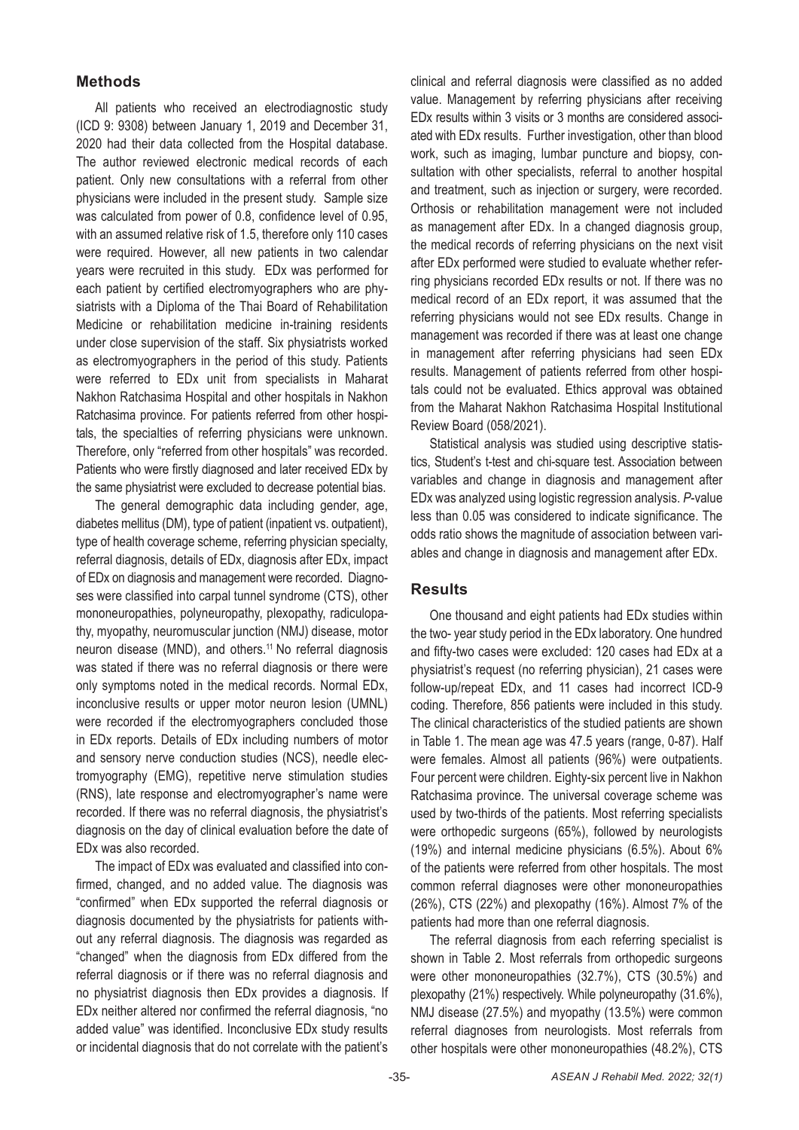## **Methods**

All patients who received an electrodiagnostic study (ICD 9: 9308) between January 1, 2019 and December 31, 2020 had their data collected from the Hospital database. The author reviewed electronic medical records of each patient. Only new consultations with a referral from other physicians were included in the present study. Sample size was calculated from power of 0.8, confidence level of 0.95, with an assumed relative risk of 1.5, therefore only 110 cases were required. However, all new patients in two calendar years were recruited in this study. EDx was performed for each patient by certified electromyographers who are physiatrists with a Diploma of the Thai Board of Rehabilitation Medicine or rehabilitation medicine in-training residents under close supervision of the staff. Six physiatrists worked as electromyographers in the period of this study. Patients were referred to EDx unit from specialists in Maharat Nakhon Ratchasima Hospital and other hospitals in Nakhon Ratchasima province. For patients referred from other hospitals, the specialties of referring physicians were unknown. Therefore, only "referred from other hospitals" was recorded. Patients who were firstly diagnosed and later received EDx by the same physiatrist were excluded to decrease potential bias.

The general demographic data including gender, age, diabetes mellitus (DM), type of patient (inpatient vs. outpatient), type of health coverage scheme, referring physician specialty, referral diagnosis, details of EDx, diagnosis after EDx, impact of EDx on diagnosis and management were recorded. Diagnoses were classified into carpal tunnel syndrome (CTS), other mononeuropathies, polyneuropathy, plexopathy, radiculopathy, myopathy, neuromuscular junction (NMJ) disease, motor neuron disease (MND), and others.11 No referral diagnosis was stated if there was no referral diagnosis or there were only symptoms noted in the medical records. Normal EDx, inconclusive results or upper motor neuron lesion (UMNL) were recorded if the electromyographers concluded those in EDx reports. Details of EDx including numbers of motor and sensory nerve conduction studies (NCS), needle electromyography (EMG), repetitive nerve stimulation studies (RNS), late response and electromyographer's name were recorded. If there was no referral diagnosis, the physiatrist's diagnosis on the day of clinical evaluation before the date of EDx was also recorded.

The impact of EDx was evaluated and classified into confirmed, changed, and no added value. The diagnosis was "confirmed" when EDx supported the referral diagnosis or diagnosis documented by the physiatrists for patients without any referral diagnosis. The diagnosis was regarded as "changed" when the diagnosis from EDx differed from the referral diagnosis or if there was no referral diagnosis and no physiatrist diagnosis then EDx provides a diagnosis. If EDx neither altered nor confirmed the referral diagnosis, "no added value" was identified. Inconclusive EDx study results or incidental diagnosis that do not correlate with the patient's

clinical and referral diagnosis were classified as no added value. Management by referring physicians after receiving EDx results within 3 visits or 3 months are considered associated with EDx results. Further investigation, other than blood work, such as imaging, lumbar puncture and biopsy, consultation with other specialists, referral to another hospital and treatment, such as injection or surgery, were recorded. Orthosis or rehabilitation management were not included as management after EDx. In a changed diagnosis group, the medical records of referring physicians on the next visit after EDx performed were studied to evaluate whether referring physicians recorded EDx results or not. If there was no medical record of an EDx report, it was assumed that the referring physicians would not see EDx results. Change in management was recorded if there was at least one change in management after referring physicians had seen EDx results. Management of patients referred from other hospitals could not be evaluated. Ethics approval was obtained from the Maharat Nakhon Ratchasima Hospital Institutional Review Board (058/2021).

Statistical analysis was studied using descriptive statistics, Student's t-test and chi-square test. Association between variables and change in diagnosis and management after EDx was analyzed using logistic regression analysis. *P*-value less than 0.05 was considered to indicate significance. The odds ratio shows the magnitude of association between variables and change in diagnosis and management after EDx.

### **Results**

One thousand and eight patients had EDx studies within the two- year study period in the EDx laboratory. One hundred and fifty-two cases were excluded: 120 cases had EDx at a physiatrist's request (no referring physician), 21 cases were follow-up/repeat EDx, and 11 cases had incorrect ICD-9 coding. Therefore, 856 patients were included in this study. The clinical characteristics of the studied patients are shown in Table 1. The mean age was 47.5 years (range, 0-87). Half were females. Almost all patients (96%) were outpatients. Four percent were children. Eighty-six percent live in Nakhon Ratchasima province. The universal coverage scheme was used by two-thirds of the patients. Most referring specialists were orthopedic surgeons (65%), followed by neurologists (19%) and internal medicine physicians (6.5%). About 6% of the patients were referred from other hospitals. The most common referral diagnoses were other mononeuropathies (26%), CTS (22%) and plexopathy (16%). Almost 7% of the patients had more than one referral diagnosis.

The referral diagnosis from each referring specialist is shown in Table 2. Most referrals from orthopedic surgeons were other mononeuropathies (32.7%), CTS (30.5%) and plexopathy (21%) respectively. While polyneuropathy (31.6%), NMJ disease (27.5%) and myopathy (13.5%) were common referral diagnoses from neurologists. Most referrals from other hospitals were other mononeuropathies (48.2%), CTS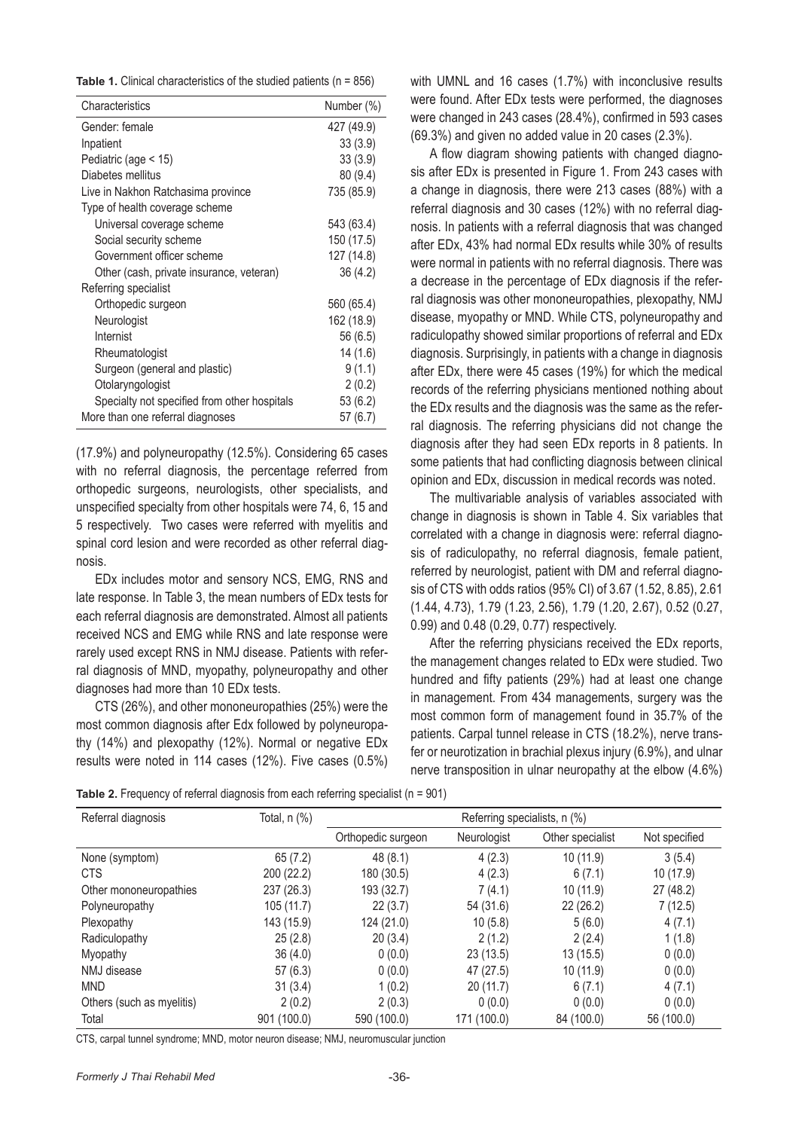|  |  | <b>Table 1.</b> Clinical characteristics of the studied patients ( $n = 856$ ) |  |  |  |  |  |  |
|--|--|--------------------------------------------------------------------------------|--|--|--|--|--|--|
|--|--|--------------------------------------------------------------------------------|--|--|--|--|--|--|

| Characteristics                              | Number (%) |
|----------------------------------------------|------------|
| Gender: female                               | 427 (49.9) |
| Inpatient                                    | 33(3.9)    |
| Pediatric (age < 15)                         | 33(3.9)    |
| Diabetes mellitus                            | 80 (9.4)   |
| Live in Nakhon Ratchasima province           | 735 (85.9) |
| Type of health coverage scheme               |            |
| Universal coverage scheme                    | 543 (63.4) |
| Social security scheme                       | 150 (17.5) |
| Government officer scheme                    | 127 (14.8) |
| Other (cash, private insurance, veteran)     | 36(4.2)    |
| Referring specialist                         |            |
| Orthopedic surgeon                           | 560 (65.4) |
| Neurologist                                  | 162 (18.9) |
| Internist                                    | 56 (6.5)   |
| Rheumatologist                               | 14(1.6)    |
| Surgeon (general and plastic)                | 9(1.1)     |
| Otolaryngologist                             | 2(0.2)     |
| Specialty not specified from other hospitals | 53 (6.2)   |
| More than one referral diagnoses             | 57 (6.7)   |

(17.9%) and polyneuropathy (12.5%). Considering 65 cases with no referral diagnosis, the percentage referred from orthopedic surgeons, neurologists, other specialists, and unspecified specialty from other hospitals were 74, 6, 15 and 5 respectively. Two cases were referred with myelitis and spinal cord lesion and were recorded as other referral diagnosis.

EDx includes motor and sensory NCS, EMG, RNS and late response. In Table 3, the mean numbers of EDx tests for each referral diagnosis are demonstrated. Almost all patients received NCS and EMG while RNS and late response were rarely used except RNS in NMJ disease. Patients with referral diagnosis of MND, myopathy, polyneuropathy and other diagnoses had more than 10 EDx tests.

CTS (26%), and other mononeuropathies (25%) were the most common diagnosis after Edx followed by polyneuropathy (14%) and plexopathy (12%). Normal or negative EDx results were noted in 114 cases (12%). Five cases (0.5%) with UMNL and 16 cases (1.7%) with inconclusive results were found. After EDx tests were performed, the diagnoses were changed in 243 cases (28.4%), confirmed in 593 cases (69.3%) and given no added value in 20 cases (2.3%).

A flow diagram showing patients with changed diagnosis after EDx is presented in Figure 1. From 243 cases with a change in diagnosis, there were 213 cases (88%) with a referral diagnosis and 30 cases (12%) with no referral diagnosis. In patients with a referral diagnosis that was changed after EDx, 43% had normal EDx results while 30% of results were normal in patients with no referral diagnosis. There was a decrease in the percentage of EDx diagnosis if the referral diagnosis was other mononeuropathies, plexopathy, NMJ disease, myopathy or MND. While CTS, polyneuropathy and radiculopathy showed similar proportions of referral and EDx diagnosis. Surprisingly, in patients with a change in diagnosis after EDx, there were 45 cases (19%) for which the medical records of the referring physicians mentioned nothing about the EDx results and the diagnosis was the same as the referral diagnosis. The referring physicians did not change the diagnosis after they had seen EDx reports in 8 patients. In some patients that had conflicting diagnosis between clinical opinion and EDx, discussion in medical records was noted.

The multivariable analysis of variables associated with change in diagnosis is shown in Table 4. Six variables that correlated with a change in diagnosis were: referral diagnosis of radiculopathy, no referral diagnosis, female patient, referred by neurologist, patient with DM and referral diagnosis of CTS with odds ratios (95% CI) of 3.67 (1.52, 8.85), 2.61 (1.44, 4.73), 1.79 (1.23, 2.56), 1.79 (1.20, 2.67), 0.52 (0.27, 0.99) and 0.48 (0.29, 0.77) respectively.

After the referring physicians received the EDx reports, the management changes related to EDx were studied. Two hundred and fifty patients (29%) had at least one change in management. From 434 managements, surgery was the most common form of management found in 35.7% of the patients. Carpal tunnel release in CTS (18.2%), nerve transfer or neurotization in brachial plexus injury (6.9%), and ulnar nerve transposition in ulnar neuropathy at the elbow (4.6%)

**Table 2.** Frequency of referral diagnosis from each referring specialist (n = 901)

| Referral diagnosis        | Total, n (%) | Referring specialists, n (%) |             |                  |               |
|---------------------------|--------------|------------------------------|-------------|------------------|---------------|
|                           |              | Orthopedic surgeon           | Neurologist | Other specialist | Not specified |
| None (symptom)            | 65(7.2)      | 48(8.1)                      | 4(2.3)      | 10(11.9)         | 3(5.4)        |
| <b>CTS</b>                | 200 (22.2)   | 180 (30.5)                   | 4(2.3)      | 6(7.1)           | 10 (17.9)     |
| Other mononeuropathies    | 237 (26.3)   | 193 (32.7)                   | 7(4.1)      | 10(11.9)         | 27 (48.2)     |
| Polyneuropathy            | 105 (11.7)   | 22(3.7)                      | 54 (31.6)   | 22(26.2)         | 7 (12.5)      |
| Plexopathy                | 143 (15.9)   | 124 (21.0)                   | 10(5.8)     | 5(6.0)           | 4(7.1)        |
| Radiculopathy             | 25(2.8)      | 20(3.4)                      | 2(1.2)      | 2(2.4)           | 1(1.8)        |
| Myopathy                  | 36(4.0)      | 0(0.0)                       | 23(13.5)    | 13(15.5)         | 0(0.0)        |
| NMJ disease               | 57(6.3)      | 0(0.0)                       | 47(27.5)    | 10(11.9)         | 0(0.0)        |
| <b>MND</b>                | 31(3.4)      | 1(0.2)                       | 20(11.7)    | 6(7.1)           | 4(7.1)        |
| Others (such as myelitis) | 2(0.2)       | 2(0.3)                       | 0(0.0)      | 0(0.0)           | 0(0.0)        |
| Total                     | 901 (100.0)  | 590 (100.0)                  | 171 (100.0) | 84 (100.0)       | 56 (100.0)    |

CTS, carpal tunnel syndrome; MND, motor neuron disease; NMJ, neuromuscular junction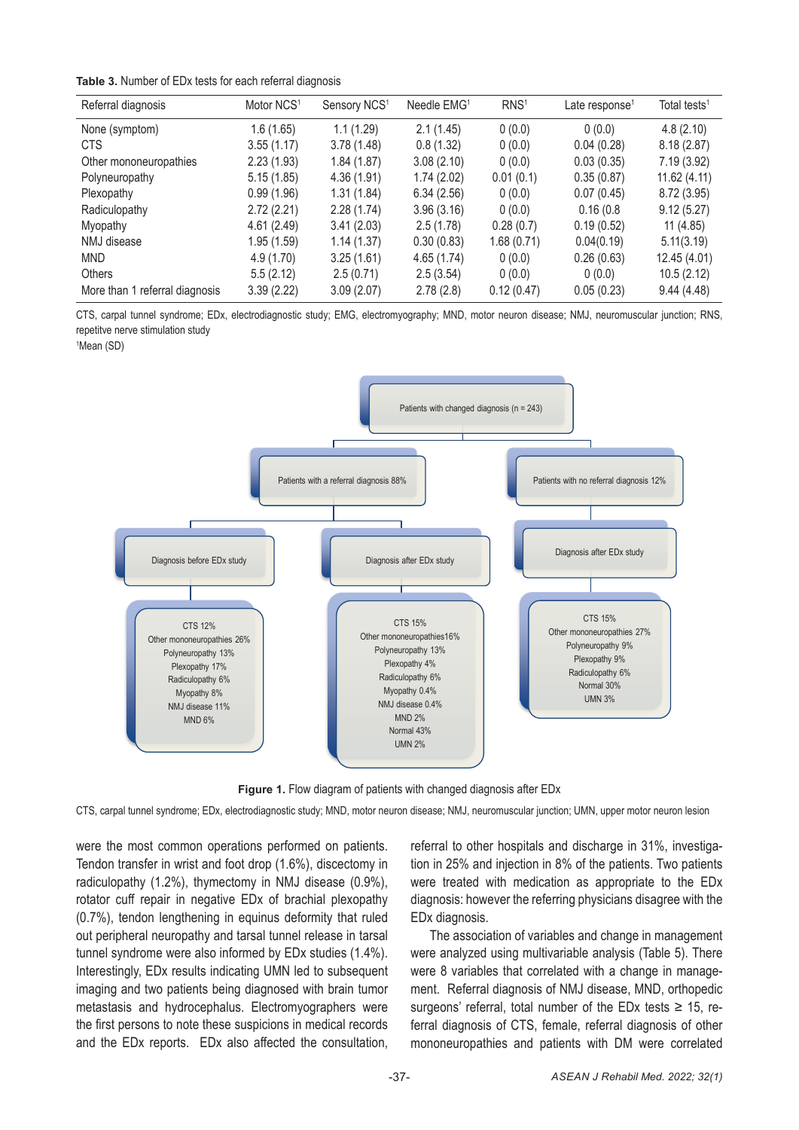#### **Table 3.** Number of EDx tests for each referral diagnosis

| Referral diagnosis             | Motor NCS <sup>1</sup> | Sensory NCS <sup>1</sup> | Needle EMG <sup>1</sup> | RNS <sup>1</sup> | Late response <sup>1</sup> | Total tests <sup>1</sup> |
|--------------------------------|------------------------|--------------------------|-------------------------|------------------|----------------------------|--------------------------|
| None (symptom)                 | 1.6(1.65)              | 1.1(1.29)                | 2.1(1.45)               | 0(0.0)           | 0(0.0)                     | 4.8(2.10)                |
| <b>CTS</b>                     | 3.55(1.17)             | 3.78(1.48)               | 0.8(1.32)               | 0(0.0)           | 0.04(0.28)                 | 8.18(2.87)               |
| Other mononeuropathies         | 2.23(1.93)             | 1.84(1.87)               | 3.08(2.10)              | 0(0.0)           | 0.03(0.35)                 | 7.19(3.92)               |
| Polyneuropathy                 | 5.15(1.85)             | 4.36 (1.91)              | 1.74(2.02)              | 0.01(0.1)        | 0.35(0.87)                 | 11.62(4.11)              |
| Plexopathy                     | 0.99(1.96)             | 1.31(1.84)               | 6.34(2.56)              | 0(0.0)           | 0.07(0.45)                 | 8.72 (3.95)              |
| Radiculopathy                  | 2.72(2.21)             | 2.28(1.74)               | 3.96(3.16)              | 0(0.0)           | 0.16(0.8)                  | 9.12(5.27)               |
| Myopathy                       | 4.61(2.49)             | 3.41(2.03)               | 2.5(1.78)               | 0.28(0.7)        | 0.19(0.52)                 | 11(4.85)                 |
| NMJ disease                    | 1.95(1.59)             | 1.14(1.37)               | 0.30(0.83)              | 1.68(0.71)       | 0.04(0.19)                 | 5.11(3.19)               |
| <b>MND</b>                     | 4.9 (1.70)             | 3.25(1.61)               | 4.65(1.74)              | 0(0.0)           | 0.26(0.63)                 | 12.45 (4.01)             |
| <b>Others</b>                  | 5.5(2.12)              | 2.5(0.71)                | 2.5(3.54)               | 0(0.0)           | 0(0.0)                     | 10.5(2.12)               |
| More than 1 referral diagnosis | 3.39(2.22)             | 3.09(2.07)               | 2.78(2.8)               | 0.12(0.47)       | 0.05(0.23)                 | 9.44(4.48)               |

CTS, carpal tunnel syndrome; EDx, electrodiagnostic study; EMG, electromyography; MND, motor neuron disease; NMJ, neuromuscular junction; RNS, repetitve nerve stimulation study

161 <sup>1</sup> **Mean (SD)** Figure 1*.* Figure 1*.* **Figure 1** 



**Figure 1.** Flow diagram of patients with changed diagnosis after EDx

rigare 1: 1 low diagram or patieme with changed diagroess andre EDA<br>CTS, carpal tunnel syndrome; EDx, electrodiagnostic study; MND, motor neuron disease; NMJ, neuromuscular junction; UMN, upper motor neuron lesion 015, carpar turiner syndrome; EDX, electrodiagnosite study; MND, motor neuron dis

were the most common operations performed on patients.<br>Tandas transfer in writt and feet drap  $(4.6\%)$  diseastery in radiculopatify (1.2%), thymectomy in this disease (0.9%), were treated with medication as appropriate to the referring physicians disagree with 1912 were studied and figure studies of bidding proceptury and at least one change privateles at least of the<br>(0.7%), tendon lengthening in equinus deformity that ruled EDx diagnosis. out peripheral neuropathy and tarsal tunnel release in tarsal The association of variables and change in managem tunnel syndrome were also informed by EDx studies (1.4%). Were analyzed using multivariable analysis (Table 5). Ther Interestingly, EDx results indicating UMN led to subsequent were 8 variables that correlated with a change in r miaging and two patients being diagnosed with brain turnor and filent. Referral diagnosis of NMJ disease, MND, orthopediculopation<br>metastasis and hydrocephalus. Electromyographers were argeons' referral, total number of t the first persons to note these suspicions in medical records ferral diagnosis of CTS, female, referral diagnosis and the EDx reports. EDx also affected the consultation, mononeuropathies and patients with DM were correla Tendon transfer in wrist and foot drop (1.6%), discectomy in radiculopathy (1.2%), thymectomy in NMJ disease (0.9%), imaging and two patients being diagnosed with brain tumor

referral to other hospitals and discharge in 31%, investigation in 25% and injection in 8% of the patients. Two patients were treated with medication as appropriate to the EDx diagnosis: however the referring physicians disagree with the EDx diagnosis.

The association of variables and change in management were analyzed using multivariable analysis (Table 5). There were 8 variables that correlated with a change in management. Referral diagnosis of NMJ disease, MND, orthopedic surgeons' referral, total number of the EDx tests  $\geq$  15, referral diagnosis of CTS, female, referral diagnosis of other mononeuropathies and patients with DM were correlated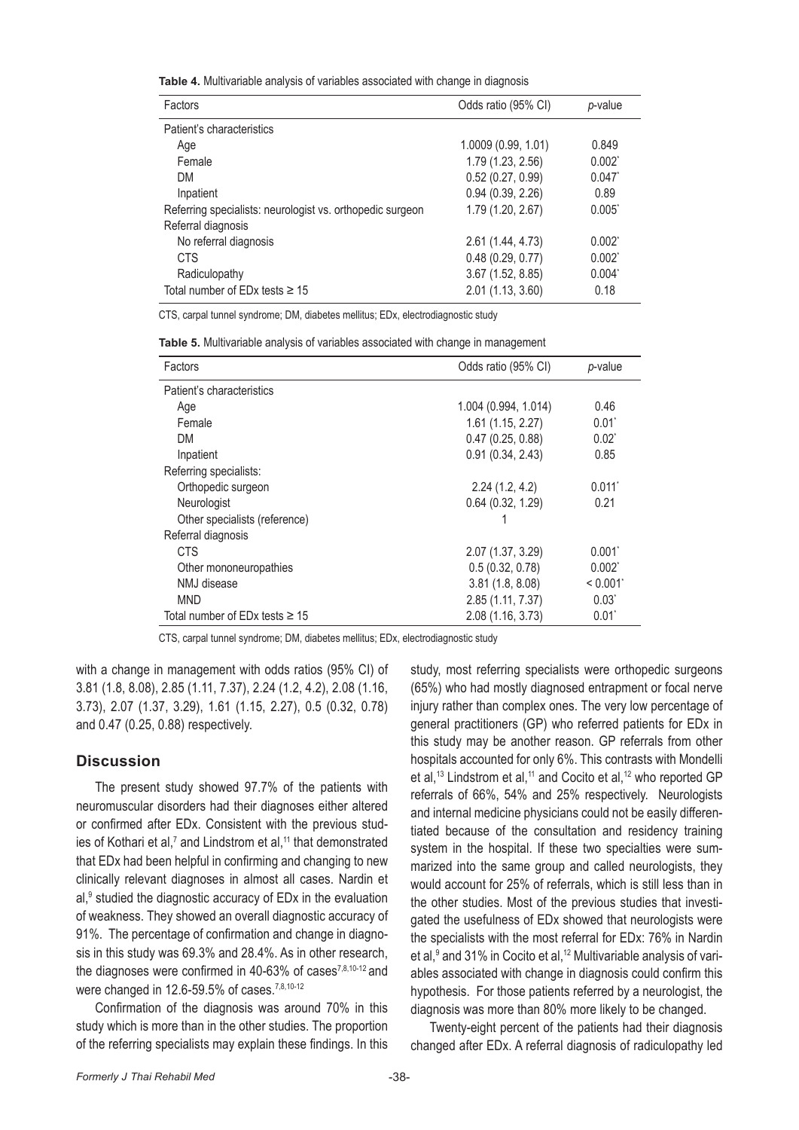**Table 4.** Multivariable analysis of variables associated with change in diagnosis

| <b>Factors</b>                                            | Odds ratio (95% CI) | p-value   |
|-----------------------------------------------------------|---------------------|-----------|
| Patient's characteristics                                 |                     |           |
| Age                                                       | 1.0009 (0.99, 1.01) | 0.849     |
| Female                                                    | 1.79 (1.23, 2.56)   | $0.002^*$ |
| DM                                                        | 0.52(0.27, 0.99)    | $0.047^*$ |
| Inpatient                                                 | 0.94(0.39, 2.26)    | 0.89      |
| Referring specialists: neurologist vs. orthopedic surgeon | 1.79 (1.20, 2.67)   | 0.005"    |
| Referral diagnosis                                        |                     |           |
| No referral diagnosis                                     | 2.61 (1.44, 4.73)   | $0.002^*$ |
| <b>CTS</b>                                                | 0.48(0.29, 0.77)    | $0.002^*$ |
| Radiculopathy                                             | 3.67 (1.52, 8.85)   | $0.004^*$ |
| Total number of ED <sub>x</sub> tests $\geq 15$           | 2.01 (1.13, 3.60)   | 0.18      |

CTS, carpal tunnel syndrome; DM, diabetes mellitus; EDx, electrodiagnostic study

|  |  |  |  |  |  | Table 5. Multivariable analysis of variables associated with change in management |
|--|--|--|--|--|--|-----------------------------------------------------------------------------------|
|--|--|--|--|--|--|-----------------------------------------------------------------------------------|

| Factors                                         | Odds ratio (95% CI)  | p-value        |
|-------------------------------------------------|----------------------|----------------|
| Patient's characteristics                       |                      |                |
| Age                                             | 1.004 (0.994, 1.014) | 0.46           |
| Female                                          | 1.61(1.15, 2.27)     | $0.01^{\circ}$ |
| DM                                              | 0.47(0.25, 0.88)     | $0.02^*$       |
| Inpatient                                       | 0.91(0.34, 2.43)     | 0.85           |
| Referring specialists:                          |                      |                |
| Orthopedic surgeon                              | 2.24(1.2, 4.2)       | 0.011          |
| Neurologist                                     | 0.64(0.32, 1.29)     | 0.21           |
| Other specialists (reference)                   |                      |                |
| Referral diagnosis                              |                      |                |
| <b>CTS</b>                                      | 2.07 (1.37, 3.29)    | $0.001^*$      |
| Other mononeuropathies                          | 0.5(0.32, 0.78)      | $0.002^*$      |
| NMJ disease                                     | 3.81(1.8, 8.08)      | < 0.001        |
| <b>MND</b>                                      | 2.85 (1.11, 7.37)    | $0.03^{\circ}$ |
| Total number of ED <sub>x</sub> tests $\geq 15$ | 2.08 (1.16, 3.73)    | $0.01^{\circ}$ |

CTS, carpal tunnel syndrome; DM, diabetes mellitus; EDx, electrodiagnostic study

with a change in management with odds ratios (95% CI) of 3.81 (1.8, 8.08), 2.85 (1.11, 7.37), 2.24 (1.2, 4.2), 2.08 (1.16, 3.73), 2.07 (1.37, 3.29), 1.61 (1.15, 2.27), 0.5 (0.32, 0.78) and 0.47 (0.25, 0.88) respectively.

#### **Discussion**

The present study showed 97.7% of the patients with neuromuscular disorders had their diagnoses either altered or confirmed after EDx. Consistent with the previous studies of Kothari et al,<sup>7</sup> and Lindstrom et al,<sup>11</sup> that demonstrated that EDx had been helpful in confirming and changing to new clinically relevant diagnoses in almost all cases. Nardin et al,<sup>9</sup> studied the diagnostic accuracy of EDx in the evaluation of weakness. They showed an overall diagnostic accuracy of 91%. The percentage of confirmation and change in diagnosis in this study was 69.3% and 28.4%. As in other research, the diagnoses were confirmed in 40-63% of cases<sup>7,8,10-12</sup> and were changed in 12.6-59.5% of cases.<sup>7,8,10-12</sup>

Confirmation of the diagnosis was around 70% in this study which is more than in the other studies. The proportion of the referring specialists may explain these findings. In this study, most referring specialists were orthopedic surgeons (65%) who had mostly diagnosed entrapment or focal nerve injury rather than complex ones. The very low percentage of general practitioners (GP) who referred patients for EDx in this study may be another reason. GP referrals from other hospitals accounted for only 6%. This contrasts with Mondelli et al,<sup>13</sup> Lindstrom et al,<sup>11</sup> and Cocito et al,<sup>12</sup> who reported GP referrals of 66%, 54% and 25% respectively. Neurologists and internal medicine physicians could not be easily differentiated because of the consultation and residency training system in the hospital. If these two specialties were summarized into the same group and called neurologists, they would account for 25% of referrals, which is still less than in the other studies. Most of the previous studies that investigated the usefulness of EDx showed that neurologists were the specialists with the most referral for EDx: 76% in Nardin et al,<sup>9</sup> and 31% in Cocito et al,<sup>12</sup> Multivariable analysis of variables associated with change in diagnosis could confirm this hypothesis. For those patients referred by a neurologist, the diagnosis was more than 80% more likely to be changed.

Twenty-eight percent of the patients had their diagnosis changed after EDx. A referral diagnosis of radiculopathy led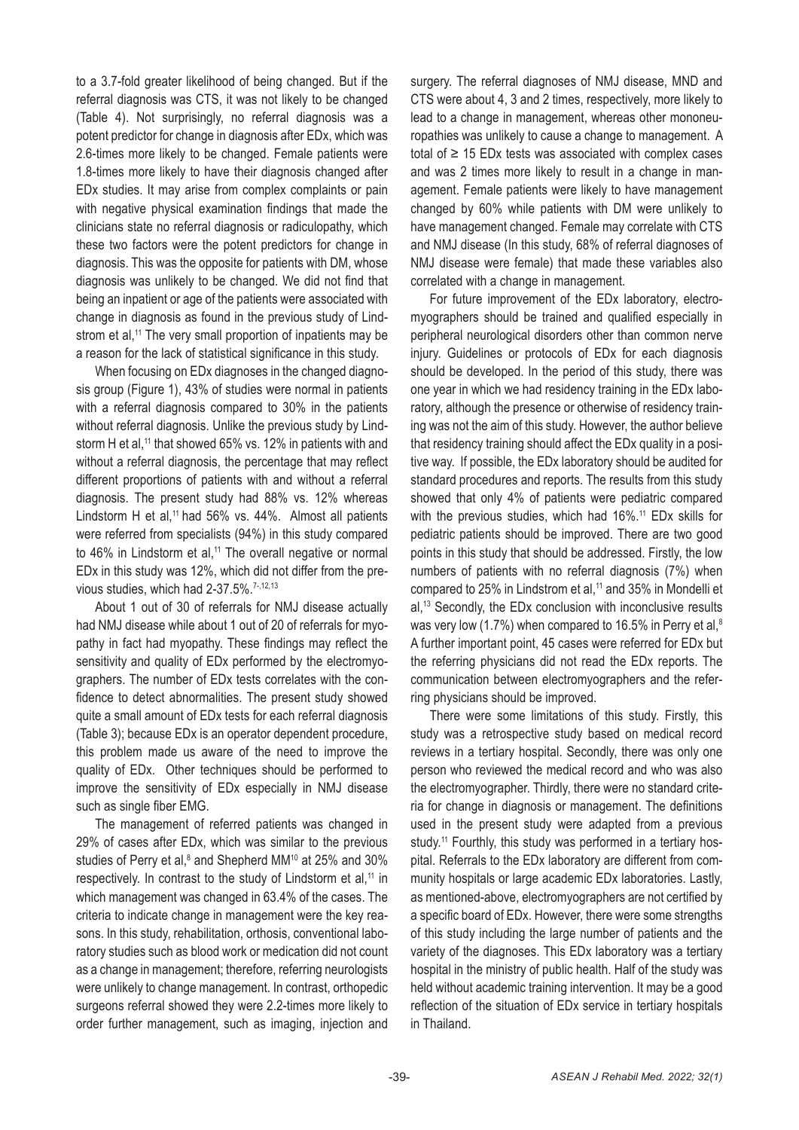to a 3.7-fold greater likelihood of being changed. But if the referral diagnosis was CTS, it was not likely to be changed (Table 4). Not surprisingly, no referral diagnosis was a potent predictor for change in diagnosis after EDx, which was 2.6-times more likely to be changed. Female patients were 1.8-times more likely to have their diagnosis changed after EDx studies. It may arise from complex complaints or pain with negative physical examination findings that made the clinicians state no referral diagnosis or radiculopathy, which these two factors were the potent predictors for change in diagnosis. This was the opposite for patients with DM, whose diagnosis was unlikely to be changed. We did not find that being an inpatient or age of the patients were associated with change in diagnosis as found in the previous study of Lindstrom et al,<sup>11</sup> The very small proportion of inpatients may be a reason for the lack of statistical significance in this study.

When focusing on EDx diagnoses in the changed diagnosis group (Figure 1), 43% of studies were normal in patients with a referral diagnosis compared to 30% in the patients without referral diagnosis. Unlike the previous study by Lindstorm H et al,<sup>11</sup> that showed 65% vs. 12% in patients with and without a referral diagnosis, the percentage that may reflect different proportions of patients with and without a referral diagnosis. The present study had 88% vs. 12% whereas Lindstorm H et al,<sup>11</sup> had 56% vs. 44%. Almost all patients were referred from specialists (94%) in this study compared to 46% in Lindstorm et al,<sup>11</sup> The overall negative or normal EDx in this study was 12%, which did not differ from the previous studies, which had 2-37.5%.<sup>7-,12,13</sup>

About 1 out of 30 of referrals for NMJ disease actually had NMJ disease while about 1 out of 20 of referrals for myopathy in fact had myopathy. These findings may reflect the sensitivity and quality of EDx performed by the electromyographers. The number of EDx tests correlates with the confidence to detect abnormalities. The present study showed quite a small amount of EDx tests for each referral diagnosis (Table 3); because EDx is an operator dependent procedure, this problem made us aware of the need to improve the quality of EDx. Other techniques should be performed to improve the sensitivity of EDx especially in NMJ disease such as single fiber EMG.

The management of referred patients was changed in 29% of cases after EDx, which was similar to the previous studies of Perry et al,<sup>8</sup> and Shepherd MM<sup>10</sup> at 25% and 30% respectively. In contrast to the study of Lindstorm et al,<sup>11</sup> in which management was changed in 63.4% of the cases. The criteria to indicate change in management were the key reasons. In this study, rehabilitation, orthosis, conventional laboratory studies such as blood work or medication did not count as a change in management; therefore, referring neurologists were unlikely to change management. In contrast, orthopedic surgeons referral showed they were 2.2-times more likely to order further management, such as imaging, injection and

surgery. The referral diagnoses of NMJ disease, MND and CTS were about 4, 3 and 2 times, respectively, more likely to lead to a change in management, whereas other mononeuropathies was unlikely to cause a change to management. A total of  $\geq$  15 EDx tests was associated with complex cases and was 2 times more likely to result in a change in management. Female patients were likely to have management changed by 60% while patients with DM were unlikely to have management changed. Female may correlate with CTS and NMJ disease (In this study, 68% of referral diagnoses of NMJ disease were female) that made these variables also correlated with a change in management.

For future improvement of the EDx laboratory, electromyographers should be trained and qualified especially in peripheral neurological disorders other than common nerve injury. Guidelines or protocols of EDx for each diagnosis should be developed. In the period of this study, there was one year in which we had residency training in the EDx laboratory, although the presence or otherwise of residency training was not the aim of this study. However, the author believe that residency training should affect the EDx quality in a positive way. If possible, the EDx laboratory should be audited for standard procedures and reports. The results from this study showed that only 4% of patients were pediatric compared with the previous studies, which had 16%.<sup>11</sup> EDx skills for pediatric patients should be improved. There are two good points in this study that should be addressed. Firstly, the low numbers of patients with no referral diagnosis (7%) when compared to 25% in Lindstrom et al,<sup>11</sup> and 35% in Mondelli et al,13 Secondly, the EDx conclusion with inconclusive results was very low (1.7%) when compared to 16.5% in Perry et al, $8$ A further important point, 45 cases were referred for EDx but the referring physicians did not read the EDx reports. The communication between electromyographers and the referring physicians should be improved.

There were some limitations of this study. Firstly, this study was a retrospective study based on medical record reviews in a tertiary hospital. Secondly, there was only one person who reviewed the medical record and who was also the electromyographer. Thirdly, there were no standard criteria for change in diagnosis or management. The definitions used in the present study were adapted from a previous study.<sup>11</sup> Fourthly, this study was performed in a tertiary hospital. Referrals to the EDx laboratory are different from community hospitals or large academic EDx laboratories. Lastly, as mentioned-above, electromyographers are not certified by a specific board of EDx. However, there were some strengths of this study including the large number of patients and the variety of the diagnoses. This EDx laboratory was a tertiary hospital in the ministry of public health. Half of the study was held without academic training intervention. It may be a good reflection of the situation of EDx service in tertiary hospitals in Thailand.